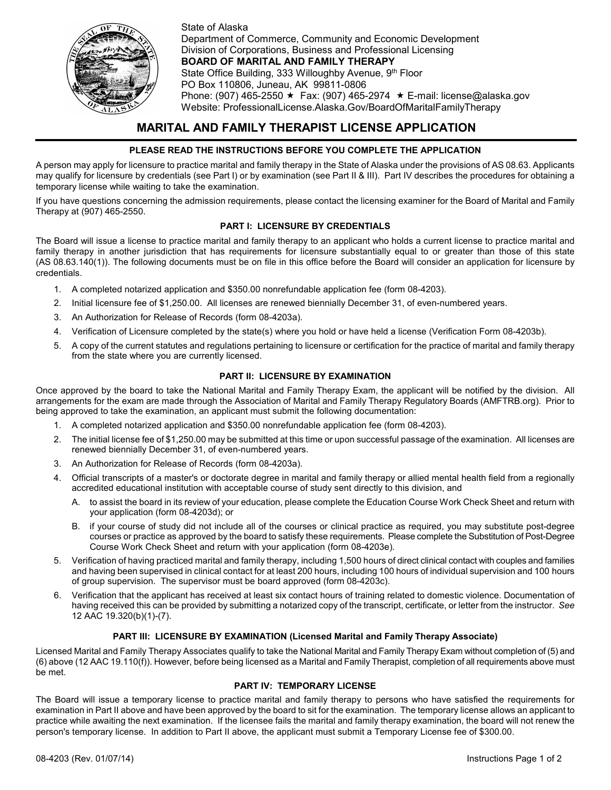

State of Alaska Department of Commerce, Community and Economic Development Division of Corporations, Business and Professional Licensing **BOARD OF MARITAL AND FAMILY THERAPY** State Office Building, 333 Willoughby Avenue, 9th Floor PO Box 110806, Juneau, AK 99811-0806 Phone: (907) 465-2550  $\star$  Fax: (907) 465-2974  $\star$  E-mail: license@alaska.gov Website: ProfessionalLicense.Alaska.Gov/BoardOfMaritalFamilyTherapy

# **MARITAL AND FAMILY THERAPIST LICENSE APPLICATION**

# **PLEASE READ THE INSTRUCTIONS BEFORE YOU COMPLETE THE APPLICATION**

A person may apply for licensure to practice marital and family therapy in the State of Alaska under the provisions of AS 08.63. Applicants may qualify for licensure by credentials (see Part I) or by examination (see Part II & III). Part IV describes the procedures for obtaining a temporary license while waiting to take the examination.

If you have questions concerning the admission requirements, please contact the licensing examiner for the Board of Marital and Family Therapy at (907) 465-2550.

# **PART I: LICENSURE BY CREDENTIALS**

The Board will issue a license to practice marital and family therapy to an applicant who holds a current license to practice marital and family therapy in another jurisdiction that has requirements for licensure substantially equal to or greater than those of this state (AS 08.63.140(1)). The following documents must be on file in this office before the Board will consider an application for licensure by credentials.

- 1. A completed notarized application and \$350.00 nonrefundable application fee (form 08-4203).
- 2. Initial licensure fee of \$1,250.00. All licenses are renewed biennially December 31, of even-numbered years.
- 3. An Authorization for Release of Records (form 08-4203a).
- 4. Verification of Licensure completed by the state(s) where you hold or have held a license (Verification Form 08-4203b).
- 5. A copy of the current statutes and regulations pertaining to licensure or certification for the practice of marital and family therapy from the state where you are currently licensed.

### **PART II: LICENSURE BY EXAMINATION**

Once approved by the board to take the National Marital and Family Therapy Exam, the applicant will be notified by the division. All arrangements for the exam are made through the Association of Marital and Family Therapy Regulatory Boards (AMFTRB.org). Prior to being approved to take the examination, an applicant must submit the following documentation:

- 1. A completed notarized application and \$350.00 nonrefundable application fee (form 08-4203).
- 2. The initial license fee of \$1,250.00 may be submitted at this time or upon successful passage of the examination. All licenses are renewed biennially December 31, of even-numbered years.
- 3. An Authorization for Release of Records (form 08-4203a).
- 4. Official transcripts of a master's or doctorate degree in marital and family therapy or allied mental health field from a regionally accredited educational institution with acceptable course of study sent directly to this division, and
	- A. to assist the board in its review of your education, please complete the Education Course Work Check Sheet and return with your application (form 08-4203d); or
	- B. if your course of study did not include all of the courses or clinical practice as required, you may substitute post-degree courses or practice as approved by the board to satisfy these requirements. Please complete the Substitution of Post-Degree Course Work Check Sheet and return with your application (form 08-4203e).
- 5. Verification of having practiced marital and family therapy, including 1,500 hours of direct clinical contact with couples and families and having been supervised in clinical contact for at least 200 hours, including 100 hours of individual supervision and 100 hours of group supervision. The supervisor must be board approved (form 08-4203c).
- 6. Verification that the applicant has received at least six contact hours of training related to domestic violence. Documentation of having received this can be provided by submitting a notarized copy of the transcript, certificate, or letter from the instructor. *See* 12 AAC 19.320(b)(1)-(7).

# **PART III: LICENSURE BY EXAMINATION (Licensed Marital and Family Therapy Associate)**

Licensed Marital and Family Therapy Associates qualify to take the National Marital and Family Therapy Exam without completion of (5) and (6) above (12 AAC 19.110(f)). However, before being licensed as a Marital and Family Therapist, completion of all requirements above must be met.

### **PART IV: TEMPORARY LICENSE**

The Board will issue a temporary license to practice marital and family therapy to persons who have satisfied the requirements for examination in Part II above and have been approved by the board to sit for the examination. The temporary license allows an applicant to practice while awaiting the next examination. If the licensee fails the marital and family therapy examination, the board will not renew the person's temporary license. In addition to Part II above, the applicant must submit a Temporary License fee of \$300.00.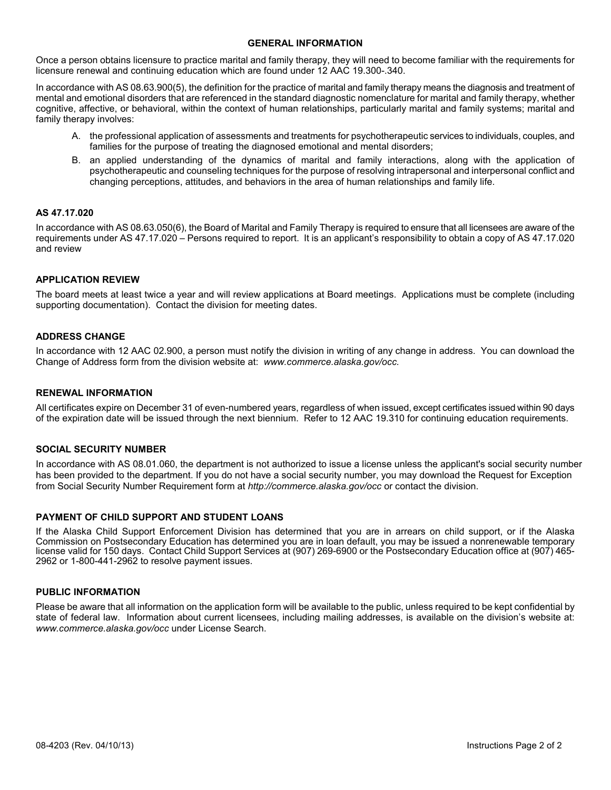### **GENERAL INFORMATION**

Once a person obtains licensure to practice marital and family therapy, they will need to become familiar with the requirements for licensure renewal and continuing education which are found under 12 AAC 19.300-.340.

In accordance with AS 08.63.900(5), the definition for the practice of marital and family therapy means the diagnosis and treatment of mental and emotional disorders that are referenced in the standard diagnostic nomenclature for marital and family therapy, whether cognitive, affective, or behavioral, within the context of human relationships, particularly marital and family systems; marital and family therapy involves:

- A. the professional application of assessments and treatments for psychotherapeutic services to individuals, couples, and families for the purpose of treating the diagnosed emotional and mental disorders;
- B. an applied understanding of the dynamics of marital and family interactions, along with the application of psychotherapeutic and counseling techniques for the purpose of resolving intrapersonal and interpersonal conflict and changing perceptions, attitudes, and behaviors in the area of human relationships and family life.

### **AS 47.17.020**

In accordance with AS 08.63.050(6), the Board of Marital and Family Therapy is required to ensure that all licensees are aware of the requirements under AS 47.17.020 – Persons required to report. It is an applicant's responsibility to obtain a copy of AS 47.17.020 and review

### **APPLICATION REVIEW**

The board meets at least twice a year and will review applications at Board meetings. Applications must be complete (including supporting documentation). Contact the division for meeting dates.

### **ADDRESS CHANGE**

In accordance with 12 AAC 02.900, a person must notify the division in writing of any change in address. You can download the Change of Address form from the division website at: *www.commerce.alaska.gov/occ.*

### **RENEWAL INFORMATION**

All certificates expire on December 31 of even-numbered years, regardless of when issued, except certificates issued within 90 days of the expiration date will be issued through the next biennium. Refer to 12 AAC 19.310 for continuing education requirements.

### **SOCIAL SECURITY NUMBER**

In accordance with AS 08.01.060, the department is not authorized to issue a license unless the applicant's social security number has been provided to the department. If you do not have a social security number, you may download the Request for Exception from Social Security Number Requirement form at *http://commerce.alaska.gov/occ* or contact the division.

### **PAYMENT OF CHILD SUPPORT AND STUDENT LOANS**

If the Alaska Child Support Enforcement Division has determined that you are in arrears on child support, or if the Alaska Commission on Postsecondary Education has determined you are in loan default, you may be issued a nonrenewable temporary license valid for 150 days. Contact Child Support Services at (907) 269-6900 or the Postsecondary Education office at (907) 465- 2962 or 1-800-441-2962 to resolve payment issues.

### **PUBLIC INFORMATION**

Please be aware that all information on the application form will be available to the public, unless required to be kept confidential by state of federal law. Information about current licensees, including mailing addresses, is available on the division's website at: *www.commerce.alaska.gov/occ* under License Search.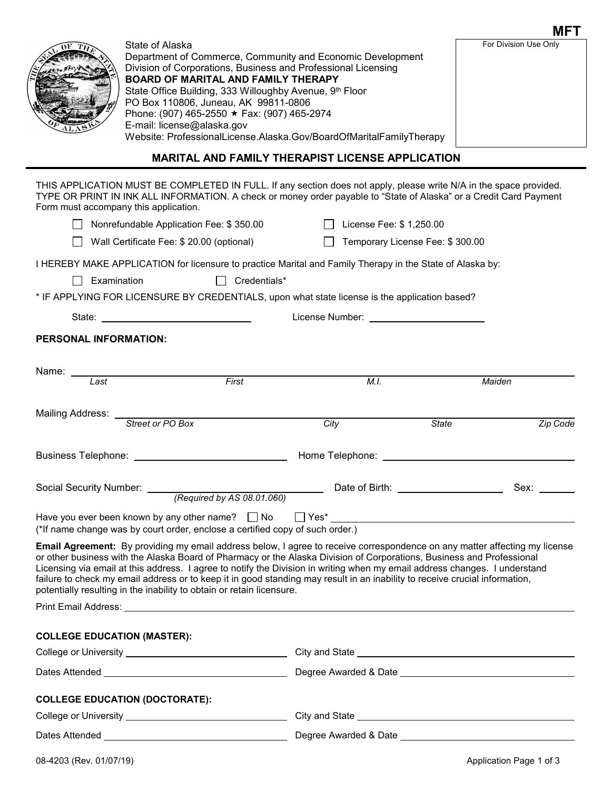|                                       |                                                                                                                                                                                                                                                                                                                                                                                                                                                     |                           |              | <b>MFT</b>            |  |
|---------------------------------------|-----------------------------------------------------------------------------------------------------------------------------------------------------------------------------------------------------------------------------------------------------------------------------------------------------------------------------------------------------------------------------------------------------------------------------------------------------|---------------------------|--------------|-----------------------|--|
|                                       | State of Alaska<br>Department of Commerce, Community and Economic Development<br>Division of Corporations, Business and Professional Licensing<br><b>BOARD OF MARITAL AND FAMILY THERAPY</b><br>State Office Building, 333 Willoughby Avenue, 9th Floor<br>PO Box 110806, Juneau, AK 99811-0806<br>Phone: (907) 465-2550 ★ Fax: (907) 465-2974<br>E-mail: license@alaska.gov<br>Website: ProfessionalLicense.Alaska.Gov/BoardOfMaritalFamilyTherapy |                           |              | For Division Use Only |  |
|                                       | <b>MARITAL AND FAMILY THERAPIST LICENSE APPLICATION</b>                                                                                                                                                                                                                                                                                                                                                                                             |                           |              |                       |  |
| Form must accompany this application. | THIS APPLICATION MUST BE COMPLETED IN FULL. If any section does not apply, please write N/A in the space provided.<br>TYPE OR PRINT IN INK ALL INFORMATION. A check or money order payable to "State of Alaska" or a Credit Card Payment                                                                                                                                                                                                            |                           |              |                       |  |
|                                       | Nonrefundable Application Fee: \$350.00                                                                                                                                                                                                                                                                                                                                                                                                             | □ License Fee: \$1,250.00 |              |                       |  |
|                                       | Wall Certificate Fee: \$ 20.00 (optional)<br>Temporary License Fee: \$300.00                                                                                                                                                                                                                                                                                                                                                                        |                           |              |                       |  |
|                                       | I HEREBY MAKE APPLICATION for licensure to practice Marital and Family Therapy in the State of Alaska by:                                                                                                                                                                                                                                                                                                                                           |                           |              |                       |  |
| Examination                           | Credentials*                                                                                                                                                                                                                                                                                                                                                                                                                                        |                           |              |                       |  |
|                                       | * IF APPLYING FOR LICENSURE BY CREDENTIALS, upon what state license is the application based?                                                                                                                                                                                                                                                                                                                                                       |                           |              |                       |  |
|                                       | State: Web and the state of the state of the state of the state of the state of the state of the state of the state of the state of the state of the state of the state of the state of the state of the state of the state of                                                                                                                                                                                                                      |                           |              |                       |  |
| <b>PERSONAL INFORMATION:</b>          |                                                                                                                                                                                                                                                                                                                                                                                                                                                     |                           |              |                       |  |
|                                       | Name: <u>Last</u><br>First                                                                                                                                                                                                                                                                                                                                                                                                                          | M.I.                      |              | Maiden                |  |
| <b>Mailing Address:</b>               | Street or PO Box                                                                                                                                                                                                                                                                                                                                                                                                                                    | City                      | <b>State</b> | Zip Code              |  |

| Business Telephone:     |                            | Home Telephone: |      |
|-------------------------|----------------------------|-----------------|------|
| Social Security Number: | (Required by AS 08.01.060) | Date of Birth:  | Sex: |

| Have you ever been known by any other name? $\Box$ No                         | ∏ Yes* |  |
|-------------------------------------------------------------------------------|--------|--|
| (*If name change was by court order, enclose a certified copy of such order.) |        |  |

**Email Agreement:** By providing my email address below, I agree to receive correspondence on any matter affecting my license or other business with the Alaska Board of Pharmacy or the Alaska Division of Corporations, Business and Professional Licensing via email at this address. I agree to notify the Division in writing when my email address changes. I understand failure to check my email address or to keep it in good standing may result in an inability to receive crucial information, potentially resulting in the inability to obtain or retain licensure.

Print Email Address:

| <b>COLLEGE EDUCATION (MASTER):</b>                                                                                                                                                                                             |                                                                                                                                                                                                                                      |  |
|--------------------------------------------------------------------------------------------------------------------------------------------------------------------------------------------------------------------------------|--------------------------------------------------------------------------------------------------------------------------------------------------------------------------------------------------------------------------------------|--|
| College or University Network and Solid College or University                                                                                                                                                                  |                                                                                                                                                                                                                                      |  |
|                                                                                                                                                                                                                                |                                                                                                                                                                                                                                      |  |
| <b>COLLEGE EDUCATION (DOCTORATE):</b>                                                                                                                                                                                          |                                                                                                                                                                                                                                      |  |
|                                                                                                                                                                                                                                | City and State <u>New York and State and State and State and State and State and State and State and State and State and State and State and State and State and State and State and State and State and State and State and Sta</u> |  |
| Dates Attended and the contract of the contract of the contract of the contract of the contract of the contract of the contract of the contract of the contract of the contract of the contract of the contract of the contrac | Degree Awarded & Date <b>Example 20</b>                                                                                                                                                                                              |  |

|  | 08-4203 (Rev. 01/07/19) |  |
|--|-------------------------|--|
|  |                         |  |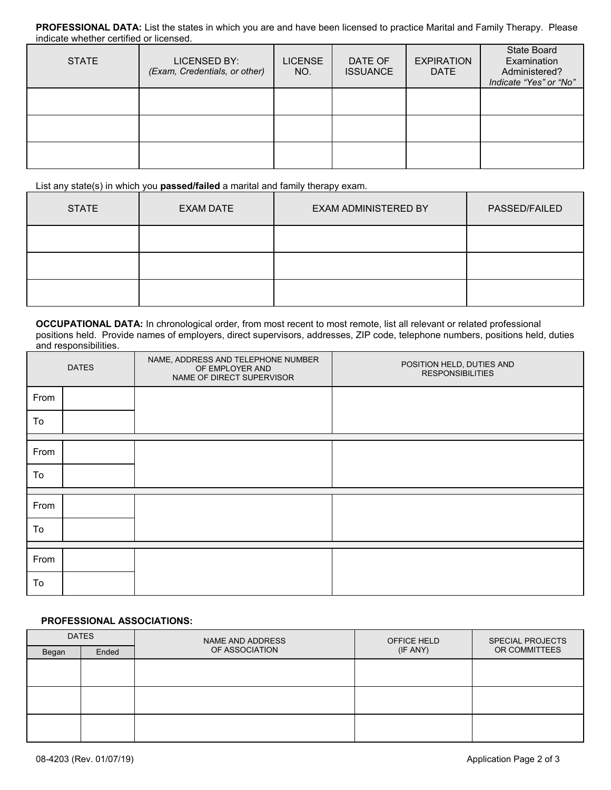**PROFESSIONAL DATA:** List the states in which you are and have been licensed to practice Marital and Family Therapy. Please indicate whether certified or licensed.

| <b>STATE</b> | LICENSED BY:<br>(Exam, Credentials, or other) | <b>LICENSE</b><br>NO. | DATE OF<br><b>ISSUANCE</b> | <b>EXPIRATION</b><br><b>DATE</b> | <b>State Board</b><br>Examination<br>Administered?<br>Indicate "Yes" or "No" |
|--------------|-----------------------------------------------|-----------------------|----------------------------|----------------------------------|------------------------------------------------------------------------------|
|              |                                               |                       |                            |                                  |                                                                              |
|              |                                               |                       |                            |                                  |                                                                              |
|              |                                               |                       |                            |                                  |                                                                              |

List any state(s) in which you **passed/failed** a marital and family therapy exam.

| <b>STATE</b> | <b>EXAM DATE</b> | EXAM ADMINISTERED BY | <b>PASSED/FAILED</b> |
|--------------|------------------|----------------------|----------------------|
|              |                  |                      |                      |
|              |                  |                      |                      |
|              |                  |                      |                      |

**OCCUPATIONAL DATA:** In chronological order, from most recent to most remote, list all relevant or related professional positions held. Provide names of employers, direct supervisors, addresses, ZIP code, telephone numbers, positions held, duties and responsibilities.

| <b>DATES</b> |  | NAME, ADDRESS AND TELEPHONE NUMBER<br>OF EMPLOYER AND<br>NAME OF DIRECT SUPERVISOR | POSITION HELD, DUTIES AND<br><b>RESPONSIBILITIES</b> |
|--------------|--|------------------------------------------------------------------------------------|------------------------------------------------------|
| From         |  |                                                                                    |                                                      |
| To           |  |                                                                                    |                                                      |
| From         |  |                                                                                    |                                                      |
| To           |  |                                                                                    |                                                      |
| From         |  |                                                                                    |                                                      |
| To           |  |                                                                                    |                                                      |
|              |  |                                                                                    |                                                      |
| From         |  |                                                                                    |                                                      |
| To           |  |                                                                                    |                                                      |

# **PROFESSIONAL ASSOCIATIONS:**

| <b>DATES</b> |       | NAME AND ADDRESS | OFFICE HELD | SPECIAL PROJECTS |
|--------------|-------|------------------|-------------|------------------|
| Began        | Ended | OF ASSOCIATION   | (IF ANY)    | OR COMMITTEES    |
|              |       |                  |             |                  |
|              |       |                  |             |                  |
|              |       |                  |             |                  |
|              |       |                  |             |                  |
|              |       |                  |             |                  |
|              |       |                  |             |                  |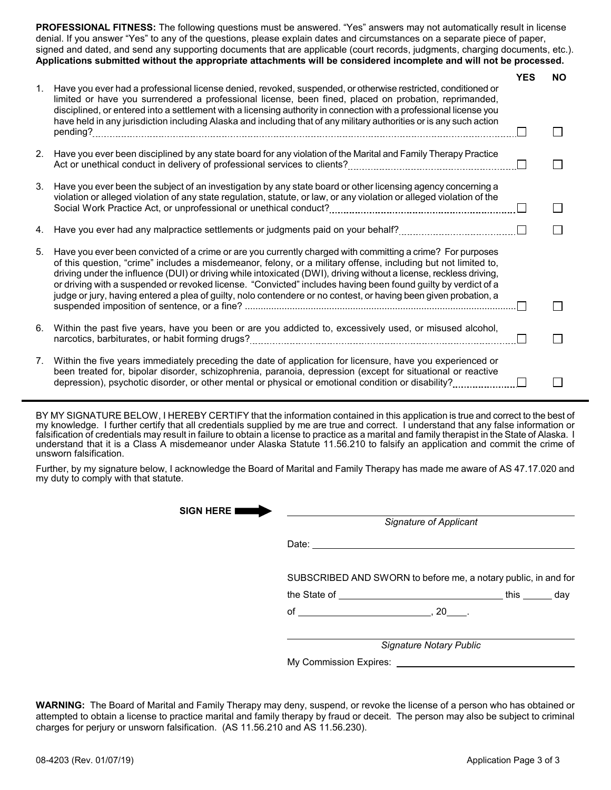**PROFESSIONAL FITNESS:** The following questions must be answered. "Yes" answers may not automatically result in license denial. If you answer "Yes" to any of the questions, please explain dates and circumstances on a separate piece of paper, signed and dated, and send any supporting documents that are applicable (court records, judgments, charging documents, etc.). **Applications submitted without the appropriate attachments will be considered incomplete and will not be processed.**

| 1. | Have you ever had a professional license denied, revoked, suspended, or otherwise restricted, conditioned or<br>limited or have you surrendered a professional license, been fined, placed on probation, reprimanded,<br>disciplined, or entered into a settlement with a licensing authority in connection with a professional license you                                                                                                                                                                                                                                             | <b>YES</b> | <b>NO</b> |
|----|-----------------------------------------------------------------------------------------------------------------------------------------------------------------------------------------------------------------------------------------------------------------------------------------------------------------------------------------------------------------------------------------------------------------------------------------------------------------------------------------------------------------------------------------------------------------------------------------|------------|-----------|
|    | have held in any jurisdiction including Alaska and including that of any military authorities or is any such action                                                                                                                                                                                                                                                                                                                                                                                                                                                                     |            |           |
| 2. | Have you ever been disciplined by any state board for any violation of the Marital and Family Therapy Practice                                                                                                                                                                                                                                                                                                                                                                                                                                                                          |            |           |
| 3. | Have you ever been the subject of an investigation by any state board or other licensing agency concerning a<br>violation or alleged violation of any state regulation, statute, or law, or any violation or alleged violation of the                                                                                                                                                                                                                                                                                                                                                   |            |           |
| 4. |                                                                                                                                                                                                                                                                                                                                                                                                                                                                                                                                                                                         |            |           |
| 5. | Have you ever been convicted of a crime or are you currently charged with committing a crime? For purposes<br>of this question, "crime" includes a misdemeanor, felony, or a military offense, including but not limited to,<br>driving under the influence (DUI) or driving while intoxicated (DWI), driving without a license, reckless driving,<br>or driving with a suspended or revoked license. "Convicted" includes having been found guilty by verdict of a<br>judge or jury, having entered a plea of guilty, nolo contendere or no contest, or having been given probation, a |            |           |
|    |                                                                                                                                                                                                                                                                                                                                                                                                                                                                                                                                                                                         |            |           |
| 6. | Within the past five years, have you been or are you addicted to, excessively used, or misused alcohol,                                                                                                                                                                                                                                                                                                                                                                                                                                                                                 |            |           |
| 7. | Within the five years immediately preceding the date of application for licensure, have you experienced or<br>been treated for, bipolar disorder, schizophrenia, paranoia, depression (except for situational or reactive                                                                                                                                                                                                                                                                                                                                                               |            |           |

BY MY SIGNATURE BELOW, I HEREBY CERTIFY that the information contained in this application is true and correct to the best of my knowledge. I further certify that all credentials supplied by me are true and correct. I understand that any false information or falsification of credentials may result in failure to obtain a license to practice as a marital and family therapist in the State of Alaska. I understand that it is a Class A misdemeanor under Alaska Statute 11.56.210 to falsify an application and commit the crime of unsworn falsification.

Further, by my signature below, I acknowledge the Board of Marital and Family Therapy has made me aware of AS 47.17.020 and my duty to comply with that statute.

| <b>SIGN HERE I</b> | <b>Signature of Applicant</b>                                  |  |  |  |  |
|--------------------|----------------------------------------------------------------|--|--|--|--|
|                    | Date:                                                          |  |  |  |  |
|                    | SUBSCRIBED AND SWORN to before me, a notary public, in and for |  |  |  |  |
|                    |                                                                |  |  |  |  |
|                    | of $\qquad \qquad .20$ .                                       |  |  |  |  |
|                    | Signature Notary Public                                        |  |  |  |  |
|                    |                                                                |  |  |  |  |
|                    |                                                                |  |  |  |  |

**WARNING:** The Board of Marital and Family Therapy may deny, suspend, or revoke the license of a person who has obtained or attempted to obtain a license to practice marital and family therapy by fraud or deceit. The person may also be subject to criminal charges for perjury or unsworn falsification. (AS 11.56.210 and AS 11.56.230).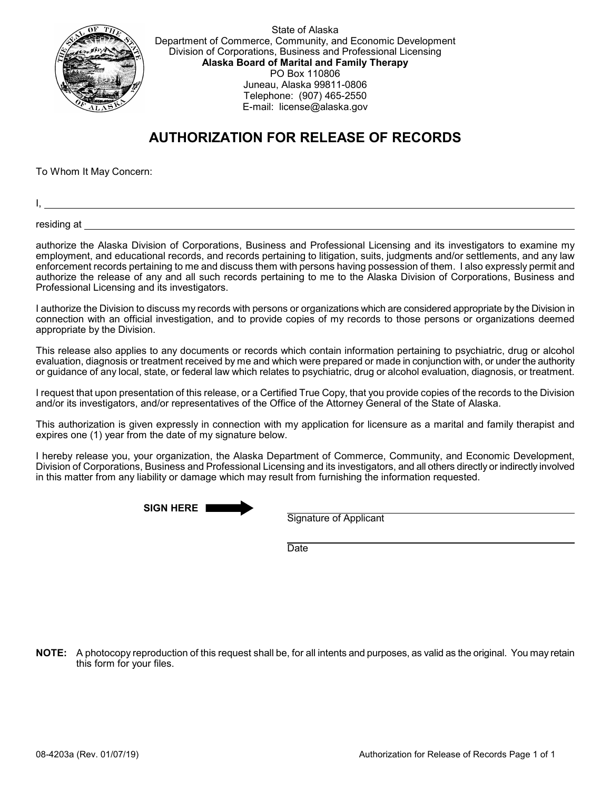

State of Alaska Department of Commerce, Community, and Economic Development Division of Corporations, Business and Professional Licensing **Alaska Board of Marital and Family Therapy** PO Box 110806 Juneau, Alaska 99811-0806 Telephone: (907) 465-2550 E-mail: license@alaska.gov

# **AUTHORIZATION FOR RELEASE OF RECORDS**

To Whom It May Concern:

I,

residing at

authorize the Alaska Division of Corporations, Business and Professional Licensing and its investigators to examine my employment, and educational records, and records pertaining to litigation, suits, judgments and/or settlements, and any law enforcement records pertaining to me and discuss them with persons having possession of them. I also expressly permit and authorize the release of any and all such records pertaining to me to the Alaska Division of Corporations, Business and Professional Licensing and its investigators.

I authorize the Division to discuss my records with persons or organizations which are considered appropriate by the Division in connection with an official investigation, and to provide copies of my records to those persons or organizations deemed appropriate by the Division.

This release also applies to any documents or records which contain information pertaining to psychiatric, drug or alcohol evaluation, diagnosis or treatment received by me and which were prepared or made in conjunction with, or under the authority or guidance of any local, state, or federal law which relates to psychiatric, drug or alcohol evaluation, diagnosis, or treatment.

I request that upon presentation of this release, or a Certified True Copy, that you provide copies of the records to the Division and/or its investigators, and/or representatives of the Office of the Attorney General of the State of Alaska.

This authorization is given expressly in connection with my application for licensure as a marital and family therapist and expires one (1) year from the date of my signature below.

I hereby release you, your organization, the Alaska Department of Commerce, Community, and Economic Development, Division of Corporations, Business and Professional Licensing and its investigators, and all others directly or indirectly involved in this matter from any liability or damage which may result from furnishing the information requested.

**SIGN HERE**

Signature of Applicant

**Date** 

**NOTE:** A photocopy reproduction of this request shall be, for all intents and purposes, as valid as the original. You may retain this form for your files.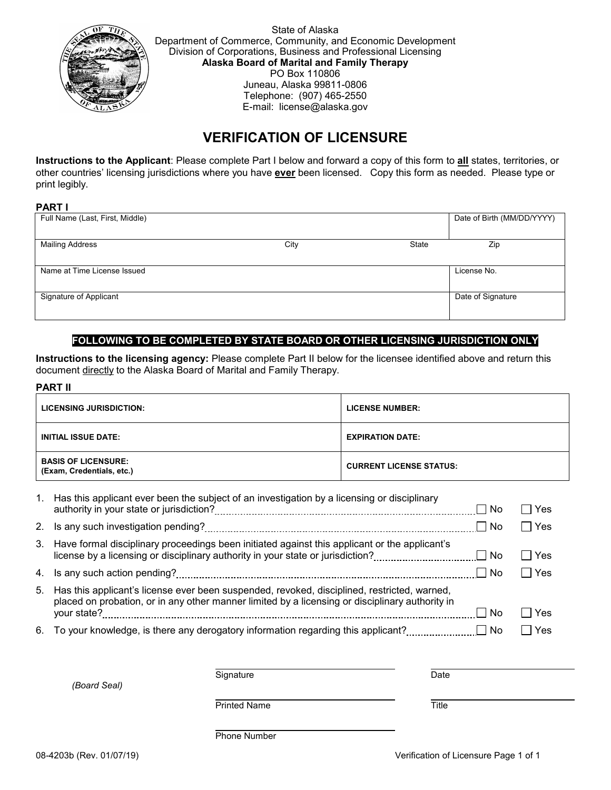

State of Alaska Department of Commerce, Community, and Economic Development Division of Corporations, Business and Professional Licensing **Alaska Board of Marital and Family Therapy** PO Box 110806 Juneau, Alaska 99811-0806 Telephone: (907) 465-2550 E-mail: license@alaska.gov

# **VERIFICATION OF LICENSURE**

**Instructions to the Applicant**: Please complete Part I below and forward a copy of this form to **all** states, territories, or other countries' licensing jurisdictions where you have **ever** been licensed. Copy this form as needed. Please type or print legibly.

# **PART I**

| Full Name (Last, First, Middle) |      |       | Date of Birth (MM/DD/YYYY) |
|---------------------------------|------|-------|----------------------------|
| <b>Mailing Address</b>          | City | State | Zip                        |
| Name at Time License Issued     |      |       | License No.                |
| Signature of Applicant          |      |       | Date of Signature          |

# **FOLLOWING TO BE COMPLETED BY STATE BOARD OR OTHER LICENSING JURISDICTION ONLY**

**Instructions to the licensing agency:** Please complete Part II below for the licensee identified above and return this document directly to the Alaska Board of Marital and Family Therapy.

# **PART II**

| <b>LICENSING JURISDICTION:</b>                          | <b>LICENSE NUMBER:</b>         |
|---------------------------------------------------------|--------------------------------|
| <b>INITIAL ISSUE DATE:</b>                              | <b>EXPIRATION DATE:</b>        |
| <b>BASIS OF LICENSURE:</b><br>(Exam, Credentials, etc.) | <b>CURRENT LICENSE STATUS:</b> |

| 1. | Has this applicant ever been the subject of an investigation by a licensing or disciplinary                                                                                                    | l No | l Yes |
|----|------------------------------------------------------------------------------------------------------------------------------------------------------------------------------------------------|------|-------|
| 2. |                                                                                                                                                                                                | ⊟ No | l Yes |
|    | 3. Have formal disciplinary proceedings been initiated against this applicant or the applicant's<br>license by a licensing or disciplinary authority in your state or jurisdiction?            | ⊟ No | Yes   |
|    |                                                                                                                                                                                                | ∣No  | l Yes |
| 5. | Has this applicant's license ever been suspended, revoked, disciplined, restricted, warned,<br>placed on probation, or in any other manner limited by a licensing or disciplinary authority in |      |       |
|    |                                                                                                                                                                                                | ∣No  | Yes   |
|    | 6. To your knowledge, is there any derogatory information regarding this applicant?                                                                                                            | l No | Yes   |

*(Board Seal)*

Signature Date Date

Printed Name Title

Phone Number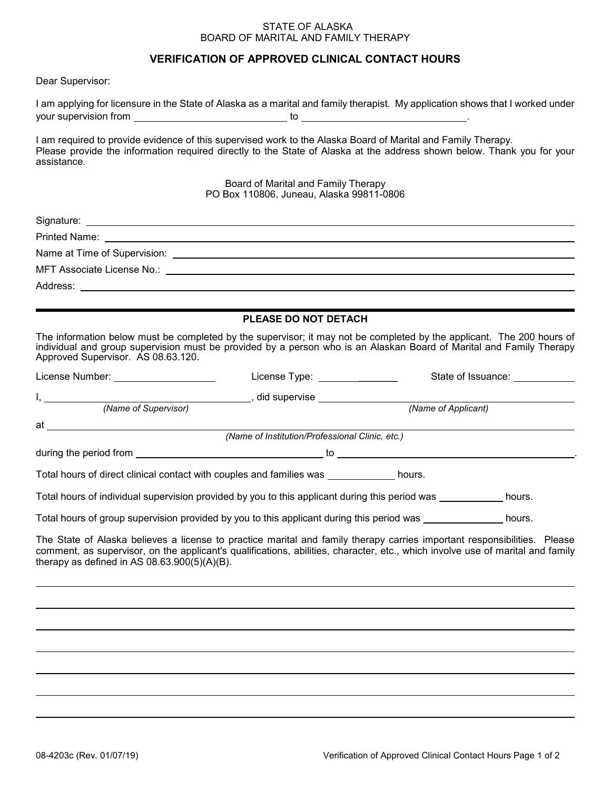### STATE OF ALASKA BOARD OF MARITAL AND FAMILY THERAPY

# **VERIFICATION OF APPROVED CLINICAL CONTACT HOURS**

Dear Supervisor:

| I am applying for licensure in the State of Alaska as a marital and family therapist. My application shows that I worked under |  |
|--------------------------------------------------------------------------------------------------------------------------------|--|
| your supervision from                                                                                                          |  |
|                                                                                                                                |  |

I am required to provide evidence of this supervised work to the Alaska Board of Marital and Family Therapy. Please provide the information required directly to the State of Alaska at the address shown below. Thank you for your assistance.

> Board of Marital and Family Therapy PO Box 110806, Juneau, Alaska 99811-0806

| <b>PLEASE DO NOT DETACH</b>                                                                                                                                                                                                                                                                                   |  |
|---------------------------------------------------------------------------------------------------------------------------------------------------------------------------------------------------------------------------------------------------------------------------------------------------------------|--|
| The information below must be completed by the supervisor; it may not be completed by the applicant. The 200 hours of<br>individual and group supervision must be provided by a person who is an Alaskan Board of Marital and Family Therapy<br>Approved Supervisor. AS 08.63.120.                            |  |
| License Type: _______________<br>State of Issuance: ___________<br>License Number: _____________________                                                                                                                                                                                                      |  |
|                                                                                                                                                                                                                                                                                                               |  |
| (Name of Applicant)                                                                                                                                                                                                                                                                                           |  |
|                                                                                                                                                                                                                                                                                                               |  |
| (Name of Institution/Professional Clinic, etc.)                                                                                                                                                                                                                                                               |  |
|                                                                                                                                                                                                                                                                                                               |  |
| Total hours of direct clinical contact with couples and families was _____________ hours.                                                                                                                                                                                                                     |  |
| Total hours of individual supervision provided by you to this applicant during this period was ___________ hours.                                                                                                                                                                                             |  |
| Total hours of group supervision provided by you to this applicant during this period was ________________ hours.                                                                                                                                                                                             |  |
| The State of Alaska believes a license to practice marital and family therapy carries important responsibilities. Please<br>comment, as supervisor, on the applicant's qualifications, abilities, character, etc., which involve use of marital and family<br>therapy as defined in AS $08.63.900(5)(A)(B)$ . |  |
|                                                                                                                                                                                                                                                                                                               |  |
|                                                                                                                                                                                                                                                                                                               |  |
|                                                                                                                                                                                                                                                                                                               |  |
|                                                                                                                                                                                                                                                                                                               |  |
|                                                                                                                                                                                                                                                                                                               |  |
|                                                                                                                                                                                                                                                                                                               |  |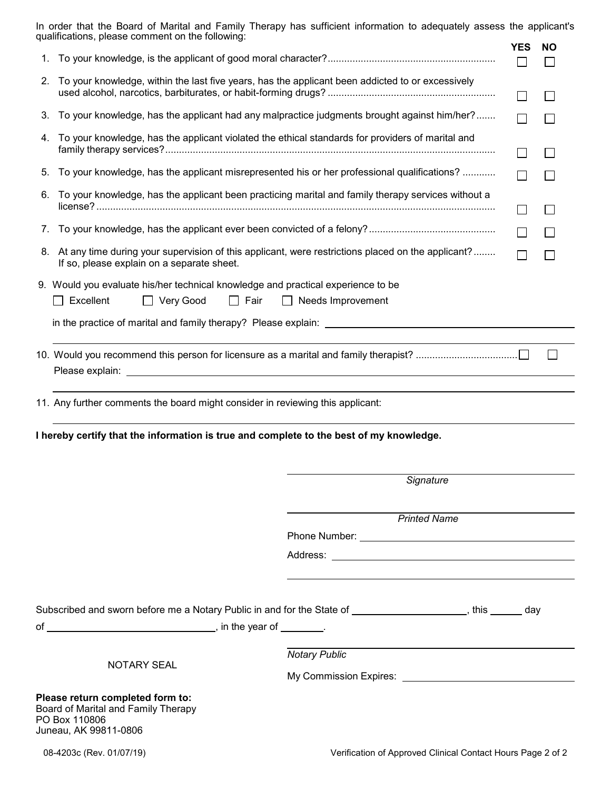|    | In order that the Board of Marital and Family Therapy has sufficient information to adequately assess the applicant's<br>qualifications, please comment on the following: |                          |            |           |
|----|---------------------------------------------------------------------------------------------------------------------------------------------------------------------------|--------------------------|------------|-----------|
|    |                                                                                                                                                                           |                          | <b>YES</b> | <b>NO</b> |
|    |                                                                                                                                                                           |                          | $\Box$     |           |
| 2. | To your knowledge, within the last five years, has the applicant been addicted to or excessively                                                                          |                          |            |           |
| 3. | To your knowledge, has the applicant had any malpractice judgments brought against him/her?                                                                               |                          |            |           |
| 4. | To your knowledge, has the applicant violated the ethical standards for providers of marital and                                                                          |                          |            |           |
|    | 5. To your knowledge, has the applicant misrepresented his or her professional qualifications?                                                                            |                          | $\Box$     |           |
| 6. | To your knowledge, has the applicant been practicing marital and family therapy services without a                                                                        |                          |            |           |
| 7. |                                                                                                                                                                           |                          |            |           |
|    | 8. At any time during your supervision of this applicant, were restrictions placed on the applicant?<br>If so, please explain on a separate sheet.                        |                          |            |           |
|    | 9. Would you evaluate his/her technical knowledge and practical experience to be                                                                                          |                          |            |           |
|    | $\Box$ Excellent<br>$\Box$ Very Good<br>$\Box$ Fair                                                                                                                       | $\Box$ Needs Improvement |            |           |
|    |                                                                                                                                                                           |                          |            |           |
|    |                                                                                                                                                                           |                          |            |           |
|    |                                                                                                                                                                           |                          |            |           |
|    |                                                                                                                                                                           |                          |            |           |
|    |                                                                                                                                                                           |                          |            |           |
|    | 11. Any further comments the board might consider in reviewing this applicant:                                                                                            |                          |            |           |
|    | I hereby certify that the information is true and complete to the best of my knowledge.                                                                                   |                          |            |           |
|    |                                                                                                                                                                           |                          |            |           |
|    |                                                                                                                                                                           |                          |            |           |
|    |                                                                                                                                                                           | Signature                |            |           |
|    |                                                                                                                                                                           | <b>Printed Name</b>      |            |           |
|    |                                                                                                                                                                           |                          |            |           |
|    |                                                                                                                                                                           |                          |            |           |
|    |                                                                                                                                                                           |                          |            |           |
|    |                                                                                                                                                                           |                          |            |           |
|    | Subscribed and sworn before me a Notary Public in and for the State of ________________________, this _______ day                                                         |                          |            |           |
|    |                                                                                                                                                                           |                          |            |           |
|    |                                                                                                                                                                           |                          |            |           |
|    | <b>NOTARY SEAL</b>                                                                                                                                                        | <b>Notary Public</b>     |            |           |
|    |                                                                                                                                                                           |                          |            |           |
|    | Please return completed form to:                                                                                                                                          |                          |            |           |
|    | Board of Marital and Family Therapy<br>PO Box 110806                                                                                                                      |                          |            |           |
|    | Juneau, AK 99811-0806                                                                                                                                                     |                          |            |           |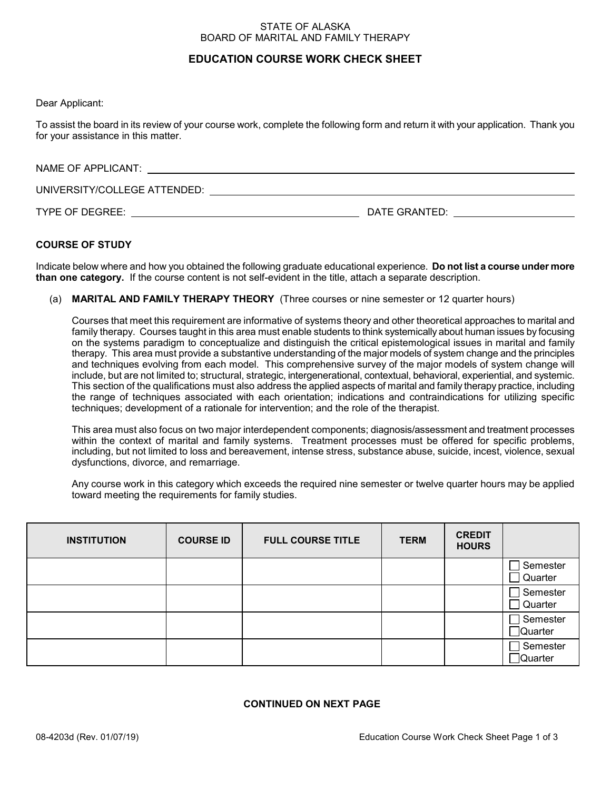### STATE OF ALASKA BOARD OF MARITAL AND FAMILY THERAPY

# **EDUCATION COURSE WORK CHECK SHEET**

Dear Applicant:

To assist the board in its review of your course work, complete the following form and return it with your application. Thank you for your assistance in this matter.

| NAME OF APPLICANT:           |               |
|------------------------------|---------------|
| UNIVERSITY/COLLEGE ATTENDED: |               |
| TYPE OF DEGREE:              | DATE GRANTED: |

# **COURSE OF STUDY**

Indicate below where and how you obtained the following graduate educational experience. **Do not list a course under more than one category.** If the course content is not self-evident in the title, attach a separate description.

(a) **MARITAL AND FAMILY THERAPY THEORY** (Three courses or nine semester or 12 quarter hours)

Courses that meet this requirement are informative of systems theory and other theoretical approaches to marital and family therapy. Courses taught in this area must enable students to think systemically about human issues by focusing on the systems paradigm to conceptualize and distinguish the critical epistemological issues in marital and family therapy. This area must provide a substantive understanding of the major models of system change and the principles and techniques evolving from each model. This comprehensive survey of the major models of system change will include, but are not limited to; structural, strategic, intergenerational, contextual, behavioral, experiential, and systemic. This section of the qualifications must also address the applied aspects of marital and family therapy practice, including the range of techniques associated with each orientation; indications and contraindications for utilizing specific techniques; development of a rationale for intervention; and the role of the therapist.

This area must also focus on two major interdependent components; diagnosis/assessment and treatment processes within the context of marital and family systems. Treatment processes must be offered for specific problems, including, but not limited to loss and bereavement, intense stress, substance abuse, suicide, incest, violence, sexual dysfunctions, divorce, and remarriage.

Any course work in this category which exceeds the required nine semester or twelve quarter hours may be applied toward meeting the requirements for family studies.

| <b>INSTITUTION</b> | <b>COURSE ID</b> | <b>FULL COURSE TITLE</b> | <b>TERM</b> | <b>CREDIT</b><br><b>HOURS</b> |                      |
|--------------------|------------------|--------------------------|-------------|-------------------------------|----------------------|
|                    |                  |                          |             |                               | Semester<br>Quarter  |
|                    |                  |                          |             |                               | Semester<br>Quarter  |
|                    |                  |                          |             |                               | Semester<br>∏Quarter |
|                    |                  |                          |             |                               | Semester<br>∏Quarter |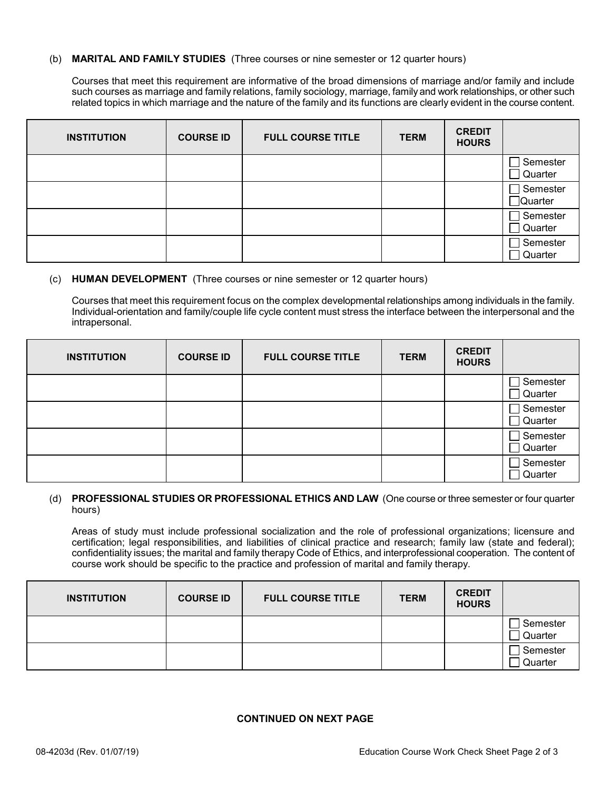### (b) **MARITAL AND FAMILY STUDIES** (Three courses or nine semester or 12 quarter hours)

Courses that meet this requirement are informative of the broad dimensions of marriage and/or family and include such courses as marriage and family relations, family sociology, marriage, family and work relationships, or other such related topics in which marriage and the nature of the family and its functions are clearly evident in the course content.

| <b>INSTITUTION</b> | <b>COURSE ID</b> | <b>FULL COURSE TITLE</b> | <b>TERM</b> | <b>CREDIT</b><br><b>HOURS</b> |                            |
|--------------------|------------------|--------------------------|-------------|-------------------------------|----------------------------|
|                    |                  |                          |             |                               | Semester<br>$\Box$ Quarter |
|                    |                  |                          |             |                               | Semester<br>$\Box$ Quarter |
|                    |                  |                          |             |                               | Semester<br>Quarter        |
|                    |                  |                          |             |                               | Semester<br>Quarter        |

# (c) **HUMAN DEVELOPMENT** (Three courses or nine semester or 12 quarter hours)

Courses that meet this requirement focus on the complex developmental relationships among individuals in the family. Individual-orientation and family/couple life cycle content must stress the interface between the interpersonal and the intrapersonal.

| <b>INSTITUTION</b> | <b>COURSE ID</b> | <b>FULL COURSE TITLE</b> | <b>TERM</b> | <b>CREDIT</b><br><b>HOURS</b> |                     |
|--------------------|------------------|--------------------------|-------------|-------------------------------|---------------------|
|                    |                  |                          |             |                               | Semester<br>Quarter |
|                    |                  |                          |             |                               | Semester<br>Quarter |
|                    |                  |                          |             |                               | Semester<br>Quarter |
|                    |                  |                          |             |                               | Semester<br>Quarter |

# (d) **PROFESSIONAL STUDIES OR PROFESSIONAL ETHICS AND LAW** (One course or three semester or four quarter hours)

Areas of study must include professional socialization and the role of professional organizations; licensure and certification; legal responsibilities, and liabilities of clinical practice and research; family law (state and federal); confidentiality issues; the marital and family therapy Code of Ethics, and interprofessional cooperation. The content of course work should be specific to the practice and profession of marital and family therapy.

| <b>INSTITUTION</b> | <b>COURSE ID</b> | <b>FULL COURSE TITLE</b> | <b>TERM</b> | <b>CREDIT</b><br><b>HOURS</b> |                     |
|--------------------|------------------|--------------------------|-------------|-------------------------------|---------------------|
|                    |                  |                          |             |                               | Semester<br>Quarter |
|                    |                  |                          |             |                               | Semester<br>Quarter |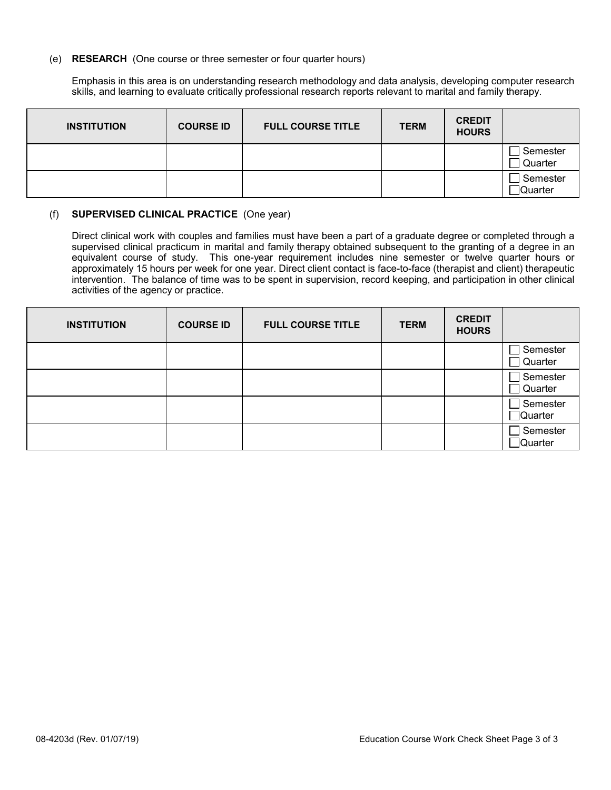### (e) **RESEARCH** (One course or three semester or four quarter hours)

Emphasis in this area is on understanding research methodology and data analysis, developing computer research skills, and learning to evaluate critically professional research reports relevant to marital and family therapy.

| <b>INSTITUTION</b> | <b>COURSE ID</b> | <b>FULL COURSE TITLE</b> | <b>TERM</b> | <b>CREDIT</b><br><b>HOURS</b> |                      |
|--------------------|------------------|--------------------------|-------------|-------------------------------|----------------------|
|                    |                  |                          |             |                               | Semester<br>Quarter  |
|                    |                  |                          |             |                               | Semester<br>]Quarter |

# (f) **SUPERVISED CLINICAL PRACTICE** (One year)

Direct clinical work with couples and families must have been a part of a graduate degree or completed through a supervised clinical practicum in marital and family therapy obtained subsequent to the granting of a degree in an equivalent course of study. This one-year requirement includes nine semester or twelve quarter hours or approximately 15 hours per week for one year. Direct client contact is face-to-face (therapist and client) therapeutic intervention. The balance of time was to be spent in supervision, record keeping, and participation in other clinical activities of the agency or practice.

| <b>INSTITUTION</b> | <b>COURSE ID</b> | <b>FULL COURSE TITLE</b> | <b>TERM</b> | <b>CREDIT</b><br><b>HOURS</b> |                               |
|--------------------|------------------|--------------------------|-------------|-------------------------------|-------------------------------|
|                    |                  |                          |             |                               | Semester<br>Quarter           |
|                    |                  |                          |             |                               | Semester<br>Quarter           |
|                    |                  |                          |             |                               | Semester<br>$\Box$ Quarter    |
|                    |                  |                          |             |                               | Semester<br>$\exists$ Quarter |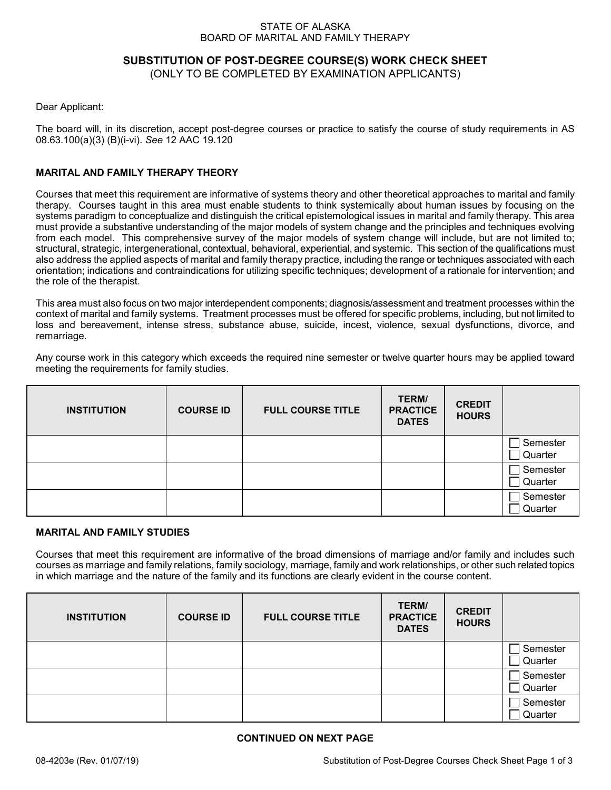### STATE OF ALASKA BOARD OF MARITAL AND FAMILY THERAPY

# **SUBSTITUTION OF POST-DEGREE COURSE(S) WORK CHECK SHEET**

(ONLY TO BE COMPLETED BY EXAMINATION APPLICANTS)

Dear Applicant:

The board will, in its discretion, accept post-degree courses or practice to satisfy the course of study requirements in AS 08.63.100(a)(3) (B)(i-vi). *See* 12 AAC 19.120

# **MARITAL AND FAMILY THERAPY THEORY**

Courses that meet this requirement are informative of systems theory and other theoretical approaches to marital and family therapy. Courses taught in this area must enable students to think systemically about human issues by focusing on the systems paradigm to conceptualize and distinguish the critical epistemological issues in marital and family therapy. This area must provide a substantive understanding of the major models of system change and the principles and techniques evolving from each model. This comprehensive survey of the major models of system change will include, but are not limited to; structural, strategic, intergenerational, contextual, behavioral, experiential, and systemic. This section of the qualifications must also address the applied aspects of marital and family therapy practice, including the range or techniques associated with each orientation; indications and contraindications for utilizing specific techniques; development of a rationale for intervention; and the role of the therapist.

This area must also focus on two major interdependent components; diagnosis/assessment and treatment processes within the context of marital and family systems. Treatment processes must be offered for specific problems, including, but not limited to loss and bereavement, intense stress, substance abuse, suicide, incest, violence, sexual dysfunctions, divorce, and remarriage.

Any course work in this category which exceeds the required nine semester or twelve quarter hours may be applied toward meeting the requirements for family studies.

| <b>INSTITUTION</b> | <b>COURSE ID</b> | <b>FULL COURSE TITLE</b> | TERM/<br><b>PRACTICE</b><br><b>DATES</b> | <b>CREDIT</b><br><b>HOURS</b> |                     |
|--------------------|------------------|--------------------------|------------------------------------------|-------------------------------|---------------------|
|                    |                  |                          |                                          |                               | Semester<br>Quarter |
|                    |                  |                          |                                          |                               | Semester<br>Quarter |
|                    |                  |                          |                                          |                               | Semester<br>Quarter |

# **MARITAL AND FAMILY STUDIES**

Courses that meet this requirement are informative of the broad dimensions of marriage and/or family and includes such courses as marriage and family relations, family sociology, marriage, family and work relationships, or other such related topics in which marriage and the nature of the family and its functions are clearly evident in the course content.

| <b>INSTITUTION</b> | <b>COURSE ID</b> | <b>FULL COURSE TITLE</b> | TERM/<br><b>PRACTICE</b><br><b>DATES</b> | <b>CREDIT</b><br><b>HOURS</b> |                     |
|--------------------|------------------|--------------------------|------------------------------------------|-------------------------------|---------------------|
|                    |                  |                          |                                          |                               | Semester<br>Quarter |
|                    |                  |                          |                                          |                               | Semester<br>Quarter |
|                    |                  |                          |                                          |                               | Semester<br>Quarter |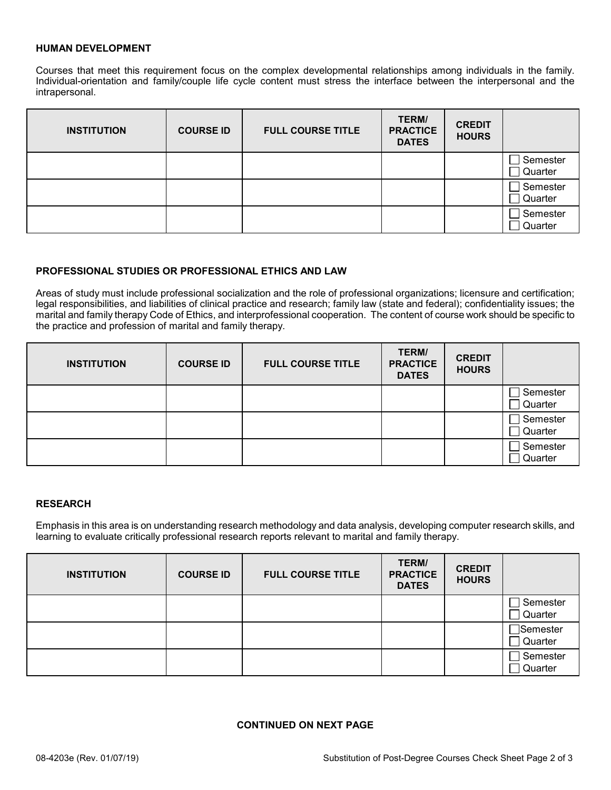# **HUMAN DEVELOPMENT**

Courses that meet this requirement focus on the complex developmental relationships among individuals in the family. Individual-orientation and family/couple life cycle content must stress the interface between the interpersonal and the intrapersonal.

| <b>INSTITUTION</b> | <b>COURSE ID</b> | <b>FULL COURSE TITLE</b> | TERM/<br><b>PRACTICE</b><br><b>DATES</b> | <b>CREDIT</b><br><b>HOURS</b> |                     |
|--------------------|------------------|--------------------------|------------------------------------------|-------------------------------|---------------------|
|                    |                  |                          |                                          |                               | Semester<br>Quarter |
|                    |                  |                          |                                          |                               | Semester<br>Quarter |
|                    |                  |                          |                                          |                               | Semester<br>Quarter |

# **PROFESSIONAL STUDIES OR PROFESSIONAL ETHICS AND LAW**

Areas of study must include professional socialization and the role of professional organizations; licensure and certification; legal responsibilities, and liabilities of clinical practice and research; family law (state and federal); confidentiality issues; the marital and family therapy Code of Ethics, and interprofessional cooperation. The content of course work should be specific to the practice and profession of marital and family therapy.

| <b>INSTITUTION</b> | <b>COURSE ID</b> | <b>FULL COURSE TITLE</b> | TERM/<br><b>PRACTICE</b><br><b>DATES</b> | <b>CREDIT</b><br><b>HOURS</b> |                     |
|--------------------|------------------|--------------------------|------------------------------------------|-------------------------------|---------------------|
|                    |                  |                          |                                          |                               | Semester<br>Quarter |
|                    |                  |                          |                                          |                               | Semester<br>Quarter |
|                    |                  |                          |                                          |                               | Semester<br>Quarter |

#### **RESEARCH**

Emphasis in this area is on understanding research methodology and data analysis, developing computer research skills, and learning to evaluate critically professional research reports relevant to marital and family therapy.

| <b>INSTITUTION</b> | <b>COURSE ID</b> | <b>FULL COURSE TITLE</b> | TERM/<br><b>PRACTICE</b><br><b>DATES</b> | <b>CREDIT</b><br><b>HOURS</b> |                               |
|--------------------|------------------|--------------------------|------------------------------------------|-------------------------------|-------------------------------|
|                    |                  |                          |                                          |                               | Semester<br>Quarter           |
|                    |                  |                          |                                          |                               | $\exists$ Semester<br>Quarter |
|                    |                  |                          |                                          |                               | Semester<br>Quarter           |